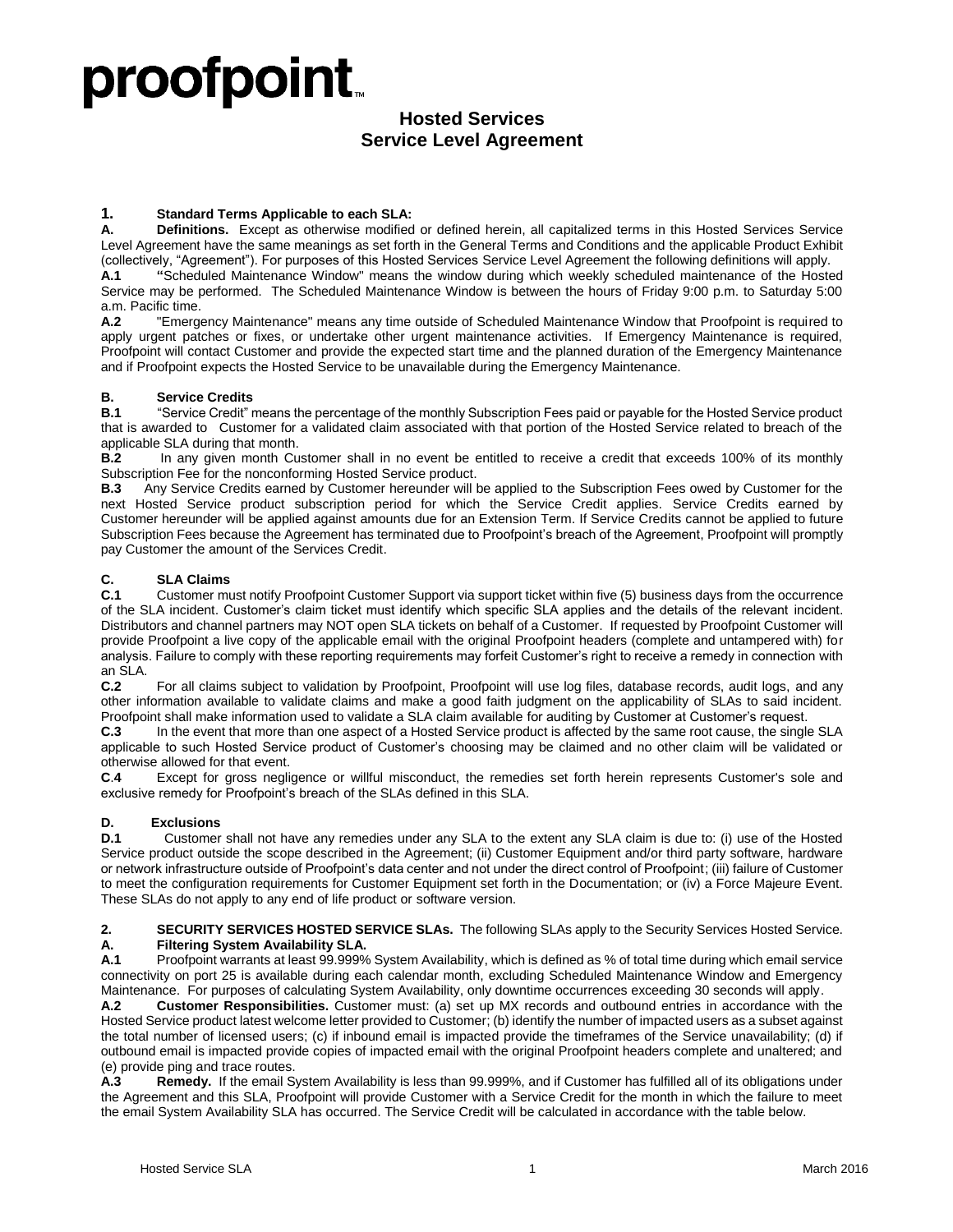# proofpoint.

## **Hosted Services Service Level Agreement**

## **1. Standard Terms Applicable to each SLA:**

**A. Definitions.** Except as otherwise modified or defined herein, all capitalized terms in this Hosted Services Service Level Agreement have the same meanings as set forth in the General Terms and Conditions and the applicable Product Exhibit (collectively, "Agreement"). For purposes of this Hosted Services Service Level Agreement the following definitions will apply.

**A.1 "**Scheduled Maintenance Window" means the window during which weekly scheduled maintenance of the Hosted Service may be performed. The Scheduled Maintenance Window is between the hours of Friday 9:00 p.m. to Saturday 5:00 a.m. Pacific time.

**A.2** "Emergency Maintenance" means any time outside of Scheduled Maintenance Window that Proofpoint is required to apply urgent patches or fixes, or undertake other urgent maintenance activities. If Emergency Maintenance is required, Proofpoint will contact Customer and provide the expected start time and the planned duration of the Emergency Maintenance and if Proofpoint expects the Hosted Service to be unavailable during the Emergency Maintenance.

### **B. Service Credits**

**B.1** "Service Credit" means the percentage of the monthly Subscription Fees paid or payable for the Hosted Service product that is awarded to Customer for a validated claim associated with that portion of the Hosted Service related to breach of the applicable SLA during that month.

**B.2** In any given month Customer shall in no event be entitled to receive a credit that exceeds 100% of its monthly Subscription Fee for the nonconforming Hosted Service product.

**B.3** Any Service Credits earned by Customer hereunder will be applied to the Subscription Fees owed by Customer for the next Hosted Service product subscription period for which the Service Credit applies. Service Credits earned by Customer hereunder will be applied against amounts due for an Extension Term. If Service Credits cannot be applied to future Subscription Fees because the Agreement has terminated due to Proofpoint's breach of the Agreement, Proofpoint will promptly pay Customer the amount of the Services Credit.

### **C. SLA Claims**

**C.1** Customer must notify Proofpoint Customer Support via support ticket within five (5) business days from the occurrence of the SLA incident. Customer's claim ticket must identify which specific SLA applies and the details of the relevant incident. Distributors and channel partners may NOT open SLA tickets on behalf of a Customer. If requested by Proofpoint Customer will provide Proofpoint a live copy of the applicable email with the original Proofpoint headers (complete and untampered with) for analysis. Failure to comply with these reporting requirements may forfeit Customer's right to receive a remedy in connection with an SLA.

**C.2** For all claims subject to validation by Proofpoint, Proofpoint will use log files, database records, audit logs, and any other information available to validate claims and make a good faith judgment on the applicability of SLAs to said incident. Proofpoint shall make information used to validate a SLA claim available for auditing by Customer at Customer's request.

**C.3** In the event that more than one aspect of a Hosted Service product is affected by the same root cause, the single SLA applicable to such Hosted Service product of Customer's choosing may be claimed and no other claim will be validated or otherwise allowed for that event.

**C**.**4** Except for gross negligence or willful misconduct, the remedies set forth herein represents Customer's sole and exclusive remedy for Proofpoint's breach of the SLAs defined in this SLA.

### **D. Exclusions**

**D.1** Customer shall not have any remedies under any SLA to the extent any SLA claim is due to: (i) use of the Hosted Service product outside the scope described in the Agreement; (ii) Customer Equipment and/or third party software, hardware or network infrastructure outside of Proofpoint's data center and not under the direct control of Proofpoint; (iii) failure of Customer to meet the configuration requirements for Customer Equipment set forth in the Documentation; or (iv) a Force Majeure Event. These SLAs do not apply to any end of life product or software version.

**2. SECURITY SERVICES HOSTED SERVICE SLAs.** The following SLAs apply to the Security Services Hosted Service. **A. Filtering System Availability SLA.**

**A.1** Proofpoint warrants at least 99.999% System Availability, which is defined as % of total time during which email service connectivity on port 25 is available during each calendar month, excluding Scheduled Maintenance Window and Emergency Maintenance. For purposes of calculating System Availability, only downtime occurrences exceeding 30 seconds will apply.

**A.2 Customer Responsibilities.** Customer must: (a) set up MX records and outbound entries in accordance with the Hosted Service product latest welcome letter provided to Customer; (b) identify the number of impacted users as a subset against the total number of licensed users; (c) if inbound email is impacted provide the timeframes of the Service unavailability; (d) if outbound email is impacted provide copies of impacted email with the original Proofpoint headers complete and unaltered; and (e) provide ping and trace routes.

**A.3 Remedy.** If the email System Availability is less than 99.999%, and if Customer has fulfilled all of its obligations under the Agreement and this SLA, Proofpoint will provide Customer with a Service Credit for the month in which the failure to meet the email System Availability SLA has occurred. The Service Credit will be calculated in accordance with the table below.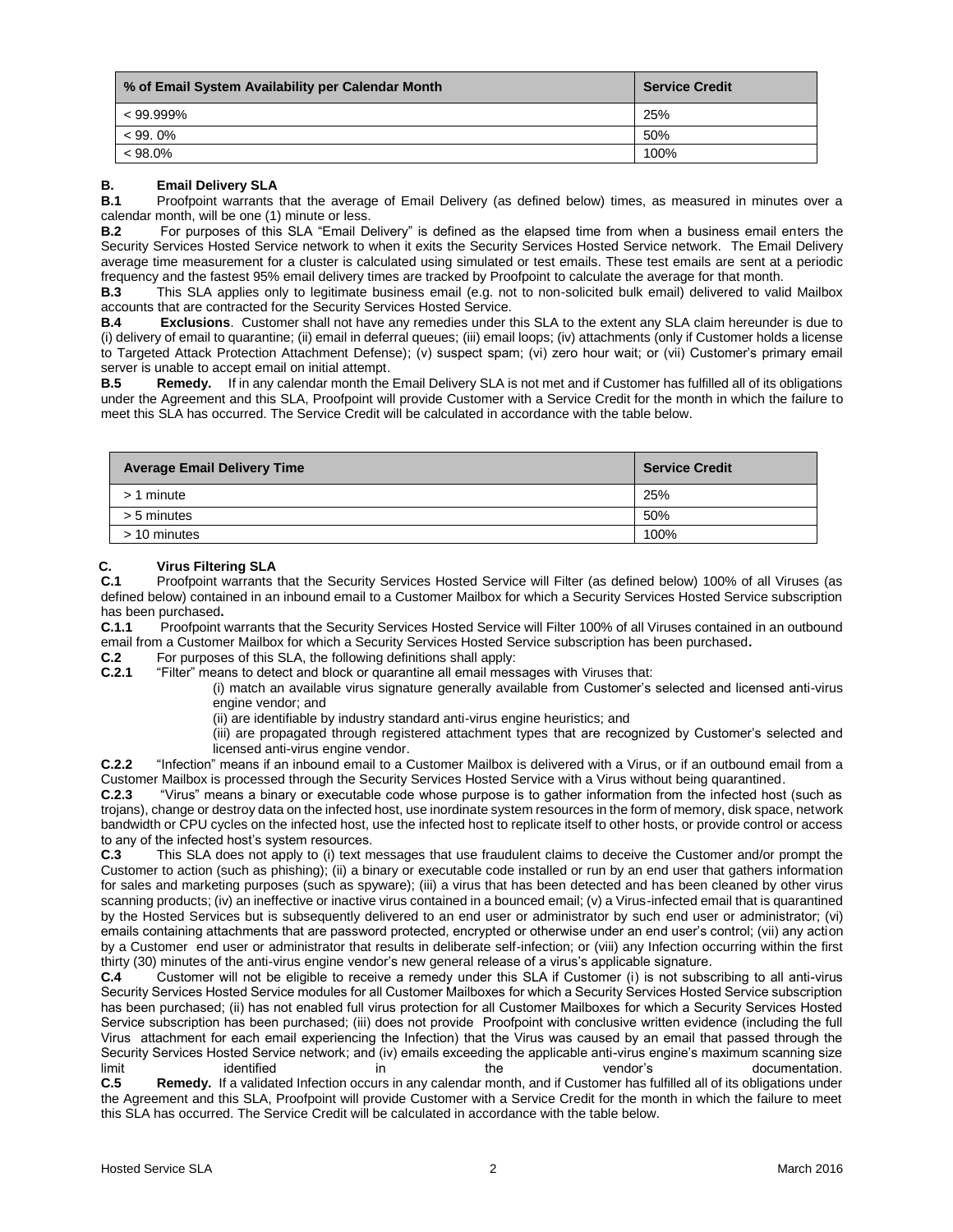| % of Email System Availability per Calendar Month | <b>Service Credit</b> |
|---------------------------------------------------|-----------------------|
| $< 99.999\%$                                      | 25%                   |
| $< 99.0\%$                                        | 50%                   |
| $< 98.0\%$                                        | 100%                  |

#### **B. Email Delivery SLA**

**B.1** Proofpoint warrants that the average of Email Delivery (as defined below) times, as measured in minutes over a calendar month, will be one (1) minute or less.<br>**B.2** For purposes of this SLA "Email De

**B.2** For purposes of this SLA "Email Delivery" is defined as the elapsed time from when a business email enters the Security Services Hosted Service network to when it exits the Security Services Hosted Service network. The Email Delivery average time measurement for a cluster is calculated using simulated or test emails. These test emails are sent at a periodic frequency and the fastest 95% email delivery times are tracked by Proofpoint to calculate the average for that month.<br>**B.3** This SLA applies only to legitimate business email (e.g. not to non-solicited bulk email) delivere

**B.3** This SLA applies only to legitimate business email (e.g. not to non-solicited bulk email) delivered to valid Mailbox accounts that are contracted for the Security Services Hosted Service.

**B.4 Exclusions**. Customer shall not have any remedies under this SLA to the extent any SLA claim hereunder is due to (i) delivery of email to quarantine; (ii) email in deferral queues; (iii) email loops; (iv) attachments (only if Customer holds a license to Targeted Attack Protection Attachment Defense); (v) suspect spam; (vi) zero hour wait; or (vii) Customer's primary email server is unable to accept email on initial attempt.

**B.5 Remedy.** If in any calendar month the Email Delivery SLA is not met and if Customer has fulfilled all of its obligations under the Agreement and this SLA, Proofpoint will provide Customer with a Service Credit for the month in which the failure to meet this SLA has occurred. The Service Credit will be calculated in accordance with the table below.

| <b>Average Email Delivery Time</b> | <b>Service Credit</b> |
|------------------------------------|-----------------------|
| $> 1$ minute                       | 25%                   |
| > 5 minutes                        | 50%                   |
| > 10 minutes                       | 100%                  |

## **C. PropERENT C.1 PropERENT PROPERENT PROPERENT PROPERENT PROPERENT PROPERENT**

**C.1** Proofpoint warrants that the Security Services Hosted Service will Filter (as defined below) 100% of all Viruses (as defined below) contained in an inbound email to a Customer Mailbox for which a Security Services Hosted Service subscription has been purchased**.** 

**C.1.1** Proofpoint warrants that the Security Services Hosted Service will Filter 100% of all Viruses contained in an outbound email from a Customer Mailbox for which a Security Services Hosted Service subscription has been purchased**.** 

**C.2** For purposes of this SLA, the following definitions shall apply:

**C.2.1** "Filter" means to detect and block or quarantine all email messages with Viruses that:

(i) match an available virus signature generally available from Customer's selected and licensed anti-virus engine vendor; and

(ii) are identifiable by industry standard anti-virus engine heuristics; and

(iii) are propagated through registered attachment types that are recognized by Customer's selected and licensed anti-virus engine vendor.

**C.2.2** "Infection" means if an inbound email to a Customer Mailbox is delivered with a Virus, or if an outbound email from a Customer Mailbox is processed through the Security Services Hosted Service with a Virus without being quarantined.<br>C 2.3. "Virus" means a binary or executable code whose purpose is to gather information from the infected b

**C.2.3** "Virus" means a binary or executable code whose purpose is to gather information from the infected host (such as trojans), change or destroy data on the infected host, use inordinate system resources in the form of memory, disk space, network bandwidth or CPU cycles on the infected host, use the infected host to replicate itself to other hosts, or provide control or access to any of the infected host's system resources.<br>**C.3** This SLA does not apply to (i) text m

**C.3** This SLA does not apply to (i) text messages that use fraudulent claims to deceive the Customer and/or prompt the Customer to action (such as phishing); (ii) a binary or executable code installed or run by an end user that gathers information for sales and marketing purposes (such as spyware); (iii) a virus that has been detected and has been cleaned by other virus scanning products; (iv) an ineffective or inactive virus contained in a bounced email; (v) a Virus-infected email that is quarantined by the Hosted Services but is subsequently delivered to an end user or administrator by such end user or administrator; (vi) emails containing attachments that are password protected, encrypted or otherwise under an end user's control; (vii) any action by a Customer end user or administrator that results in deliberate self-infection; or (viii) any Infection occurring within the first thirty (30) minutes of the anti-virus engine vendor's new general release of a virus's applicable signature.

**C.4** Customer will not be eligible to receive a remedy under this SLA if Customer (i) is not subscribing to all anti-virus Security Services Hosted Service modules for all Customer Mailboxes for which a Security Services Hosted Service subscription has been purchased; (ii) has not enabled full virus protection for all Customer Mailboxes for which a Security Services Hosted Service subscription has been purchased; (iii) does not provide Proofpoint with conclusive written evidence (including the full Virus attachment for each email experiencing the Infection) that the Virus was caused by an email that passed through the Security Services Hosted Service network; and (iv) emails exceeding the applicable anti-virus engine's maximum scanning size limit identified in the vendor's documentation. **C.5 Remedy.** If a validated Infection occurs in any calendar month, and if Customer has fulfilled all of its obligations under

the Agreement and this SLA, Proofpoint will provide Customer with a Service Credit for the month in which the failure to meet this SLA has occurred. The Service Credit will be calculated in accordance with the table below.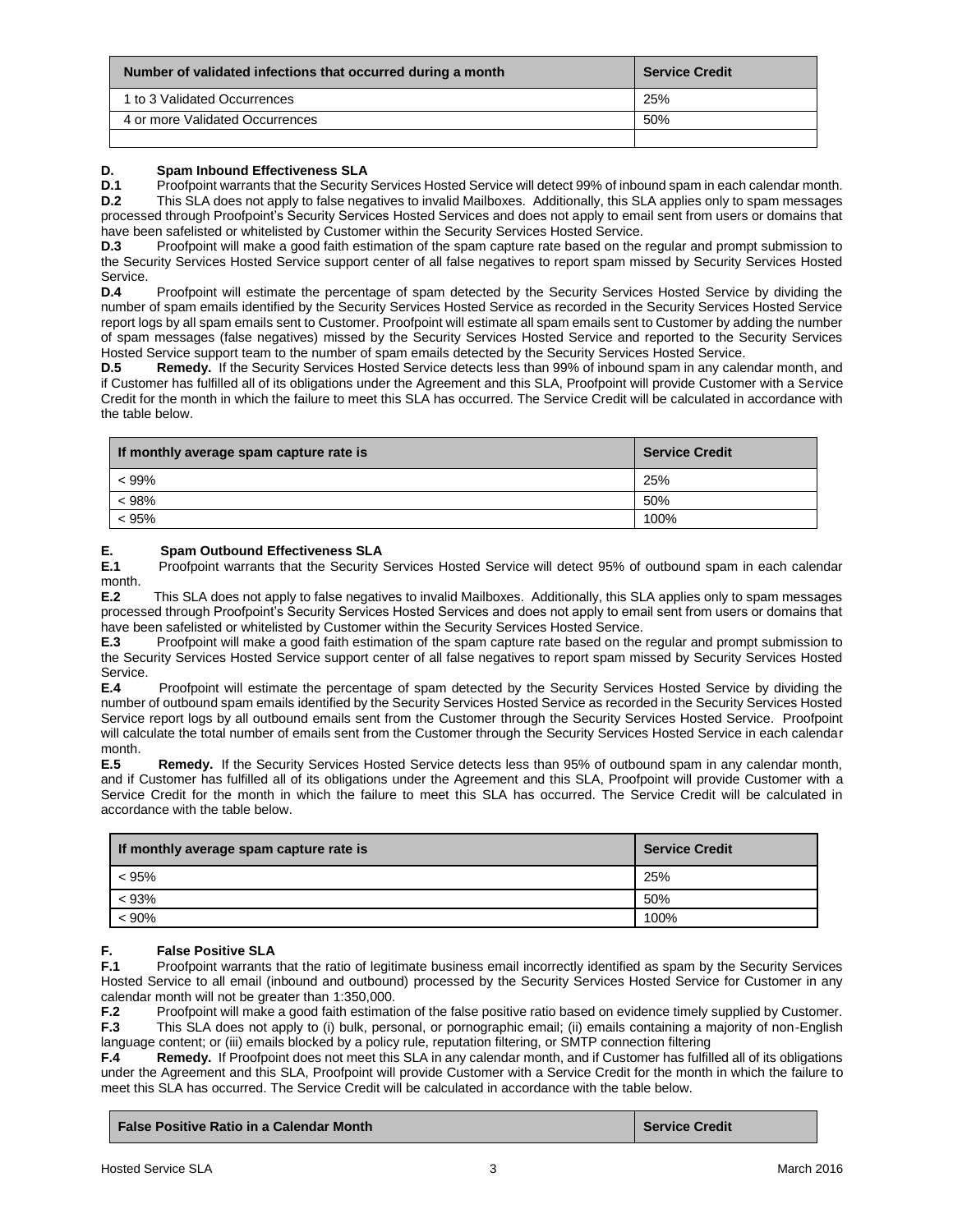| Number of validated infections that occurred during a month | <b>Service Credit</b> |
|-------------------------------------------------------------|-----------------------|
| 1 to 3 Validated Occurrences                                | 25%                   |
| 4 or more Validated Occurrences                             | 50%                   |
|                                                             |                       |

## **D.** Spam Inbound Effectiveness SLA<br>**D.1** Proofpoint warrants that the Security

Proofpoint warrants that the Security Services Hosted Service will detect 99% of inbound spam in each calendar month. **D.2** This SLA does not apply to false negatives to invalid Mailboxes. Additionally, this SLA applies only to spam messages processed through Proofpoint's Security Services Hosted Services and does not apply to email sent from users or domains that have been safelisted or whitelisted by Customer within the Security Services Hosted Service.

**D.3** Proofpoint will make a good faith estimation of the spam capture rate based on the regular and prompt submission to the Security Services Hosted Service support center of all false negatives to report spam missed by Security Services Hosted Service.<br>D.4

Proofpoint will estimate the percentage of spam detected by the Security Services Hosted Service by dividing the number of spam emails identified by the Security Services Hosted Service as recorded in the Security Services Hosted Service report logs by all spam emails sent to Customer. Proofpoint will estimate all spam emails sent to Customer by adding the number of spam messages (false negatives) missed by the Security Services Hosted Service and reported to the Security Services Hosted Service support team to the number of spam emails detected by the Security Services Hosted Service.

**D.5 Remedy.** If the Security Services Hosted Service detects less than 99% of inbound spam in any calendar month, and if Customer has fulfilled all of its obligations under the Agreement and this SLA, Proofpoint will provide Customer with a Service Credit for the month in which the failure to meet this SLA has occurred. The Service Credit will be calculated in accordance with the table below.

| If monthly average spam capture rate is | <b>Service Credit</b> |
|-----------------------------------------|-----------------------|
| < 99%                                   | 25%                   |
| < 98%                                   | 50%                   |
| < 95%                                   | 100%                  |

#### **E. Spam Outbound Effectiveness SLA**

**E.1** Proofpoint warrants that the Security Services Hosted Service will detect 95% of outbound spam in each calendar month.

**E.2** This SLA does not apply to false negatives to invalid Mailboxes. Additionally, this SLA applies only to spam messages processed through Proofpoint's Security Services Hosted Services and does not apply to email sent from users or domains that have been safelisted or whitelisted by Customer within the Security Services Hosted Service.

**E.3** Proofpoint will make a good faith estimation of the spam capture rate based on the regular and prompt submission to the Security Services Hosted Service support center of all false negatives to report spam missed by Security Services Hosted Service.

**E.4** Proofpoint will estimate the percentage of spam detected by the Security Services Hosted Service by dividing the number of outbound spam emails identified by the Security Services Hosted Service as recorded in the Security Services Hosted Service report logs by all outbound emails sent from the Customer through the Security Services Hosted Service. Proofpoint will calculate the total number of emails sent from the Customer through the Security Services Hosted Service in each calendar month.

**E.5 Remedy.** If the Security Services Hosted Service detects less than 95% of outbound spam in any calendar month, and if Customer has fulfilled all of its obligations under the Agreement and this SLA, Proofpoint will provide Customer with a Service Credit for the month in which the failure to meet this SLA has occurred. The Service Credit will be calculated in accordance with the table below.

| If monthly average spam capture rate is | <b>Service Credit</b> |
|-----------------------------------------|-----------------------|
| < 95%                                   | 25%                   |
| < 93%                                   | 50%                   |
| $< 90\%$                                | 100%                  |

# **F.** False Positive SLA<br>**F.1** Proofpoint warrants

**F.1** Proofpoint warrants that the ratio of legitimate business email incorrectly identified as spam by the Security Services Hosted Service to all email (inbound and outbound) processed by the Security Services Hosted Service for Customer in any calendar month will not be greater than 1:350,000.<br>**F.2** Proofpoint will make a good faith estimation

**F.2** Proofpoint will make a good faith estimation of the false positive ratio based on evidence timely supplied by Customer.<br>**F.3** This SLA does not apply to (i) bulk, personal, or pornographic email: (ii) emails containi **F.3** This SLA does not apply to (i) bulk, personal, or pornographic email; (ii) emails containing a majority of non-English

language content; or (iii) emails blocked by a policy rule, reputation filtering, or SMTP connection filtering<br>**F.4 Remedy.** If Proofpoint does not meet this SLA in any calendar month, and if Customer has fulfill **Remedy.** If Proofpoint does not meet this SLA in any calendar month, and if Customer has fulfilled all of its obligations under the Agreement and this SLA, Proofpoint will provide Customer with a Service Credit for the month in which the failure to meet this SLA has occurred. The Service Credit will be calculated in accordance with the table below.

| <b>False Positive Ratio in a Calendar Month</b><br><b>Service Credit</b> |  |
|--------------------------------------------------------------------------|--|
|--------------------------------------------------------------------------|--|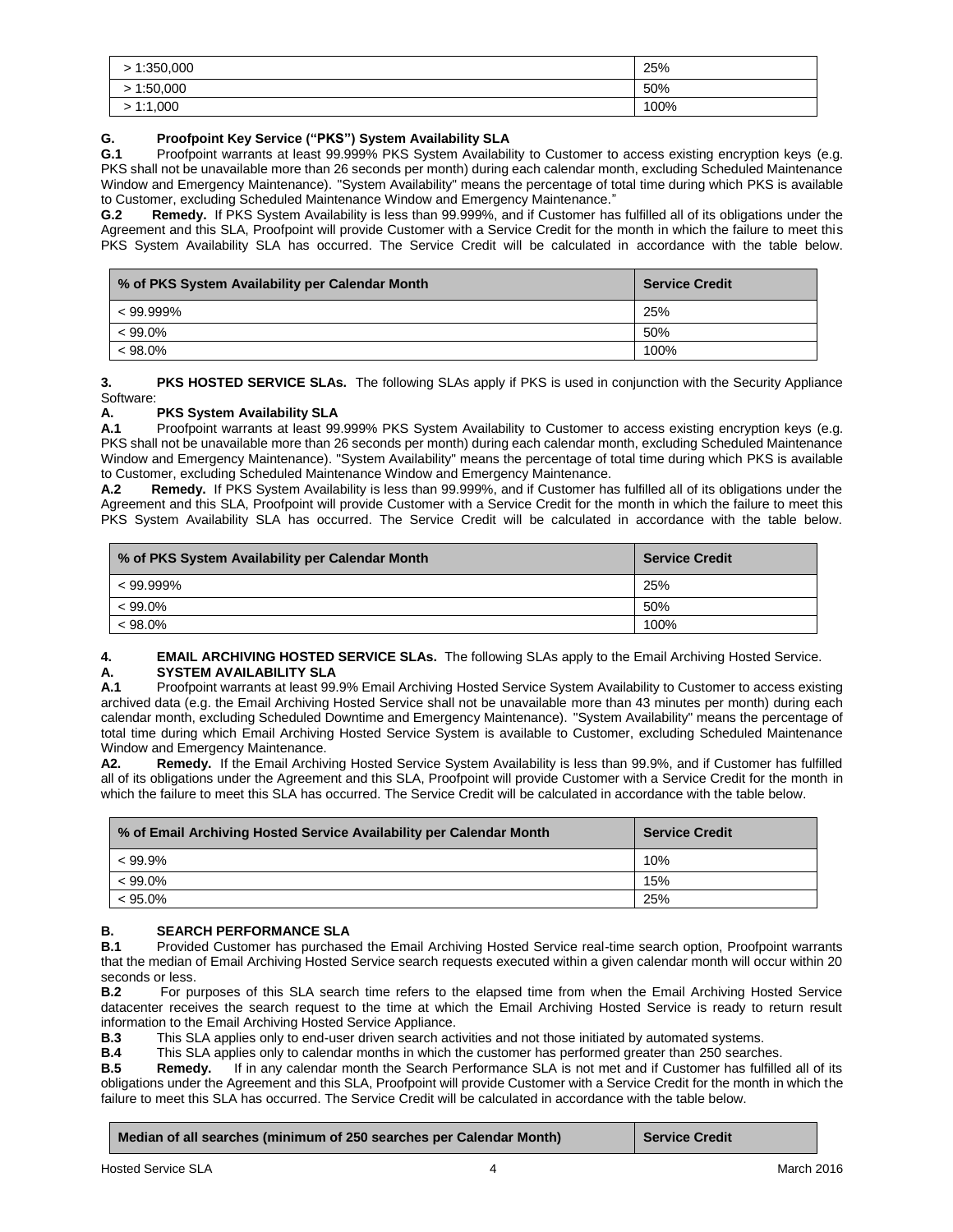| 1:350,000 | 25%  |
|-----------|------|
| >1:50,000 | 50%  |
| 1:1,000   | 100% |

## **G. Proofpoint Key Service ("PKS") System Availability SLA**

**G.1** Proofpoint warrants at least 99.999% PKS System Availability to Customer to access existing encryption keys (e.g. PKS shall not be unavailable more than 26 seconds per month) during each calendar month, excluding Scheduled Maintenance Window and Emergency Maintenance). "System Availability" means the percentage of total time during which PKS is available to Customer, excluding Scheduled Maintenance Window and Emergency Maintenance."

**G.2 Remedy.** If PKS System Availability is less than 99.999%, and if Customer has fulfilled all of its obligations under the Agreement and this SLA, Proofpoint will provide Customer with a Service Credit for the month in which the failure to meet this PKS System Availability SLA has occurred. The Service Credit will be calculated in accordance with the table below.

| % of PKS System Availability per Calendar Month | <b>Service Credit</b> |
|-------------------------------------------------|-----------------------|
| $< 99.999\%$                                    | 25%                   |
| $< 99.0\%$                                      | 50%                   |
| $< 98.0\%$                                      | 100%                  |

**3. PKS HOSTED SERVICE SLAs.** The following SLAs apply if PKS is used in conjunction with the Security Appliance Software:

### **A. PKS System Availability SLA**

**A.1** Proofpoint warrants at least 99.999% PKS System Availability to Customer to access existing encryption keys (e.g. PKS shall not be unavailable more than 26 seconds per month) during each calendar month, excluding Scheduled Maintenance Window and Emergency Maintenance). "System Availability" means the percentage of total time during which PKS is available to Customer, excluding Scheduled Maintenance Window and Emergency Maintenance.

**A.2 Remedy.** If PKS System Availability is less than 99.999%, and if Customer has fulfilled all of its obligations under the Agreement and this SLA, Proofpoint will provide Customer with a Service Credit for the month in which the failure to meet this PKS System Availability SLA has occurred. The Service Credit will be calculated in accordance with the table below.

| % of PKS System Availability per Calendar Month | <b>Service Credit</b> |
|-------------------------------------------------|-----------------------|
| $< 99.999\%$                                    | 25%                   |
| $< 99.0\%$                                      | 50%                   |
| $< 98.0\%$                                      | 100%                  |

## **4. EMAIL ARCHIVING HOSTED SERVICE SLAs.** The following SLAs apply to the Email Archiving Hosted Service. **A. SYSTEM AVAILABILITY SLA**

**A.1** Proofpoint warrants at least 99.9% Email Archiving Hosted Service System Availability to Customer to access existing archived data (e.g. the Email Archiving Hosted Service shall not be unavailable more than 43 minutes per month) during each calendar month, excluding Scheduled Downtime and Emergency Maintenance). "System Availability" means the percentage of total time during which Email Archiving Hosted Service System is available to Customer, excluding Scheduled Maintenance Window and Emergency Maintenance.

**A2. Remedy.** If the Email Archiving Hosted Service System Availability is less than 99.9%, and if Customer has fulfilled all of its obligations under the Agreement and this SLA, Proofpoint will provide Customer with a Service Credit for the month in which the failure to meet this SLA has occurred. The Service Credit will be calculated in accordance with the table below.

| % of Email Archiving Hosted Service Availability per Calendar Month | <b>Service Credit</b> |
|---------------------------------------------------------------------|-----------------------|
| $< 99.9\%$                                                          | 10%                   |
| $< 99.0\%$                                                          | 15%                   |
| $< 95.0\%$                                                          | 25%                   |

## **B. SEARCH PERFORMANCE SLA**<br>**B.1** Provided Customer has purchase

**B.1** Provided Customer has purchased the Email Archiving Hosted Service real-time search option, Proofpoint warrants that the median of Email Archiving Hosted Service search requests executed within a given calendar month will occur within 20 seconds or less.

**B.2** For purposes of this SLA search time refers to the elapsed time from when the Email Archiving Hosted Service datacenter receives the search request to the time at which the Email Archiving Hosted Service is ready to return result information to the Email Archiving Hosted Service Appliance.

**B.3** This SLA applies only to end-user driven search activities and not those initiated by automated systems.

**B.4** This SLA applies only to calendar months in which the customer has performed greater than 250 searches.

**B.5 Remedy.** If in any calendar month the Search Performance SLA is not met and if Customer has fulfilled all of its obligations under the Agreement and this SLA, Proofpoint will provide Customer with a Service Credit for the month in which the failure to meet this SLA has occurred. The Service Credit will be calculated in accordance with the table below.